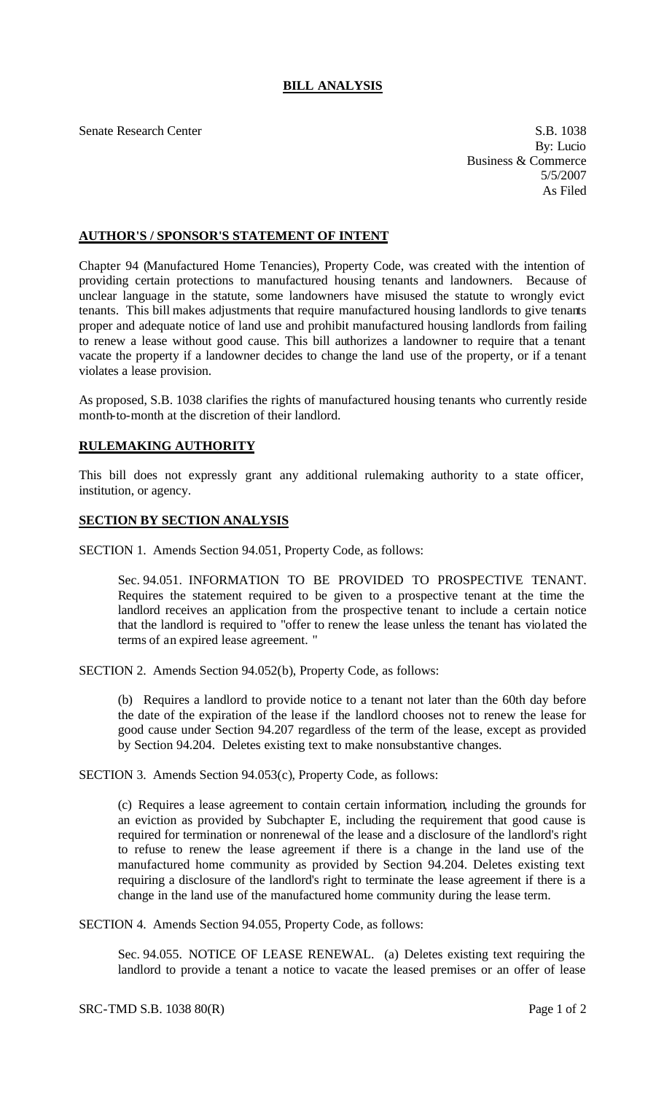## **BILL ANALYSIS**

Senate Research Center S.B. 1038

By: Lucio Business & Commerce 5/5/2007 As Filed

## **AUTHOR'S / SPONSOR'S STATEMENT OF INTENT**

Chapter 94 (Manufactured Home Tenancies), Property Code, was created with the intention of providing certain protections to manufactured housing tenants and landowners. Because of unclear language in the statute, some landowners have misused the statute to wrongly evict tenants. This bill makes adjustments that require manufactured housing landlords to give tenants proper and adequate notice of land use and prohibit manufactured housing landlords from failing to renew a lease without good cause. This bill authorizes a landowner to require that a tenant vacate the property if a landowner decides to change the land use of the property, or if a tenant violates a lease provision.

As proposed, S.B. 1038 clarifies the rights of manufactured housing tenants who currently reside month-to-month at the discretion of their landlord.

## **RULEMAKING AUTHORITY**

This bill does not expressly grant any additional rulemaking authority to a state officer, institution, or agency.

## **SECTION BY SECTION ANALYSIS**

SECTION 1. Amends Section 94.051, Property Code, as follows:

Sec. 94.051. INFORMATION TO BE PROVIDED TO PROSPECTIVE TENANT. Requires the statement required to be given to a prospective tenant at the time the landlord receives an application from the prospective tenant to include a certain notice that the landlord is required to "offer to renew the lease unless the tenant has violated the terms of an expired lease agreement. "

SECTION 2. Amends Section 94.052(b), Property Code, as follows:

(b) Requires a landlord to provide notice to a tenant not later than the 60th day before the date of the expiration of the lease if the landlord chooses not to renew the lease for good cause under Section 94.207 regardless of the term of the lease, except as provided by Section 94.204. Deletes existing text to make nonsubstantive changes.

SECTION 3. Amends Section 94.053(c), Property Code, as follows:

(c) Requires a lease agreement to contain certain information, including the grounds for an eviction as provided by Subchapter E, including the requirement that good cause is required for termination or nonrenewal of the lease and a disclosure of the landlord's right to refuse to renew the lease agreement if there is a change in the land use of the manufactured home community as provided by Section 94.204. Deletes existing text requiring a disclosure of the landlord's right to terminate the lease agreement if there is a change in the land use of the manufactured home community during the lease term.

SECTION 4. Amends Section 94.055, Property Code, as follows:

Sec. 94.055. NOTICE OF LEASE RENEWAL. (a) Deletes existing text requiring the landlord to provide a tenant a notice to vacate the leased premises or an offer of lease